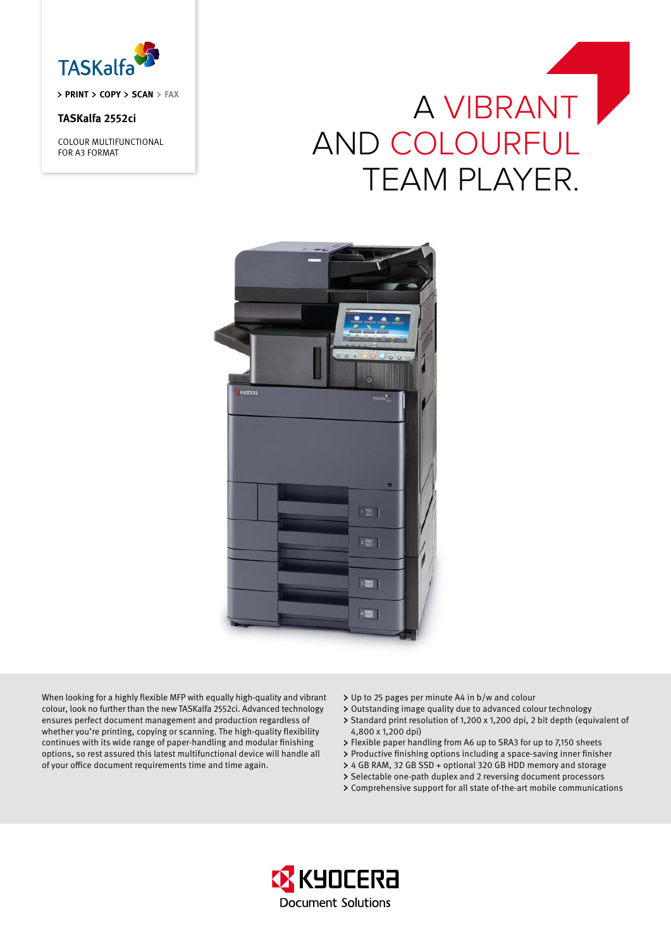

**PRINT COPY SCAN FAX**

## **TASKalfa 2552ci**

COLOUR MULTIFUNCTIONAL FOR A3 FORMAT

# A VIBRANT and ColoUrful **TEAM PLAYER.**



When looking for a highly flexible MFP with equally high-quality and vibrant colour, look no further than the new TASKalfa 2552ci. Advanced technology ensures perfect document management and production regardless of whether you're printing, copying or scanning. The high-quality flexibility continues with its wide range of paper-handling and modular finishing options, so rest assured this latest multifunctional device will handle all of your office document requirements time and time again.

- Up to 25 pages per minute A4 in b/w and colour
- Outstanding image quality due to advanced colour technology
- > Standard print resolution of 1,200 x 1,200 dpi, 2 bit depth (equivalent of 4,800 x 1,200 dpi)
- Flexible paper handling from A6 up to SRA3 for up to 7,150 sheets
- Productive finishing options including a space-saving inner finisher
- 4 GB RAM, 32 GB SSD + optional 320 GB HDD memory and storage
- > Selectable one-path duplex and 2 reversing document processors
- Comprehensive support for all state of-the-art mobile communications